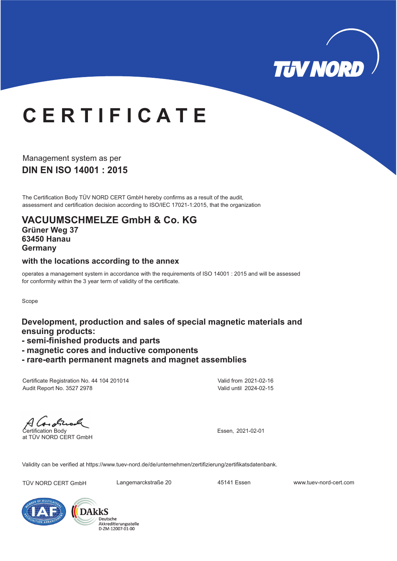

# **C E R T I F I C A T E**

**DIN EN ISO 14001: 2015** Management system as per

The Certification Body TÜV NORD CERT GmbH hereby confirms as a result of the audit, assessment and certification decision according to ISO/IEC 17021-1:2015, that the organization

#### **VACUUMSCHMELZE GmbH & Co. KG Grüner Weg 37**

**63450 Hanau Germany**

#### **with the locations according to the annex**

operates a management system in accordance with the requirements of ISO 14001 : 2015 and will be assessed for conformity within the 3 year term of validity of the certificate.

Scope

#### **Development, production and sales of special magnetic materials and ensuing products:**

- **semi-finished products and parts**
- **magnetic cores and inductive components**
- **rare-earth permanent magnets and magnet assemblies**

Certificate Registration No. 44 104 201014 Audit Report No. 3527 2978

Valid from 2021-02-16 Valid until 2024-02-15

 $4$  log obta Certification Body

at TÜV NORD CERT GmbH

Essen, 2021-02-01

Validity can be verified at https://www.tuev-nord.de/de/unternehmen/zertifizierung/zertifikatsdatenbank.

TÜV NORD CERT GmbH Langemarckstraße 20 45141 Essen www.tuev-nord-cert.com